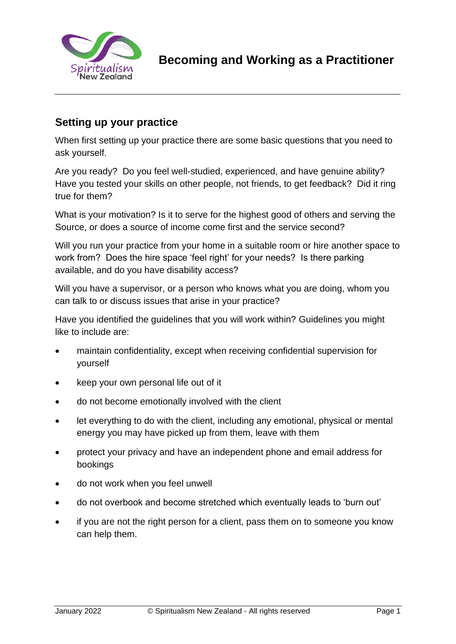

# **Setting up your practice**

When first setting up your practice there are some basic questions that you need to ask yourself.

Are you ready? Do you feel well-studied, experienced, and have genuine ability? Have you tested your skills on other people, not friends, to get feedback? Did it ring true for them?

What is your motivation? Is it to serve for the highest good of others and serving the Source, or does a source of income come first and the service second?

Will you run your practice from your home in a suitable room or hire another space to work from? Does the hire space 'feel right' for your needs? Is there parking available, and do you have disability access?

Will you have a supervisor, or a person who knows what you are doing, whom you can talk to or discuss issues that arise in your practice?

Have you identified the guidelines that you will work within? Guidelines you might like to include are:

- maintain confidentiality, except when receiving confidential supervision for yourself
- keep your own personal life out of it
- do not become emotionally involved with the client
- let everything to do with the client, including any emotional, physical or mental energy you may have picked up from them, leave with them
- protect your privacy and have an independent phone and email address for bookings
- do not work when you feel unwell
- do not overbook and become stretched which eventually leads to 'burn out'
- if you are not the right person for a client, pass them on to someone you know can help them.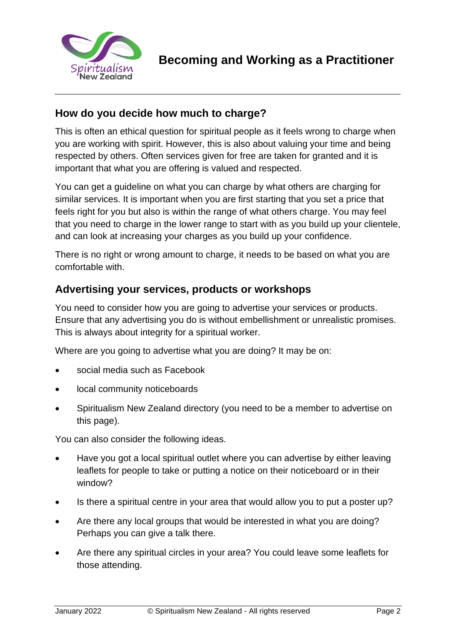

## **How do you decide how much to charge?**

This is often an ethical question for spiritual people as it feels wrong to charge when you are working with spirit. However, this is also about valuing your time and being respected by others. Often services given for free are taken for granted and it is important that what you are offering is valued and respected.

You can get a guideline on what you can charge by what others are charging for similar services. It is important when you are first starting that you set a price that feels right for you but also is within the range of what others charge. You may feel that you need to charge in the lower range to start with as you build up your clientele, and can look at increasing your charges as you build up your confidence.

There is no right or wrong amount to charge, it needs to be based on what you are comfortable with.

### **Advertising your services, products or workshops**

You need to consider how you are going to advertise your services or products. Ensure that any advertising you do is without embellishment or unrealistic promises. This is always about integrity for a spiritual worker.

Where are you going to advertise what you are doing? It may be on:

- social media such as Facebook
- local community noticeboards
- Spiritualism New Zealand directory (you need to be a member to advertise on this page).

You can also consider the following ideas.

- Have you got a local spiritual outlet where you can advertise by either leaving leaflets for people to take or putting a notice on their noticeboard or in their window?
- Is there a spiritual centre in your area that would allow you to put a poster up?
- Are there any local groups that would be interested in what you are doing? Perhaps you can give a talk there.
- Are there any spiritual circles in your area? You could leave some leaflets for those attending.